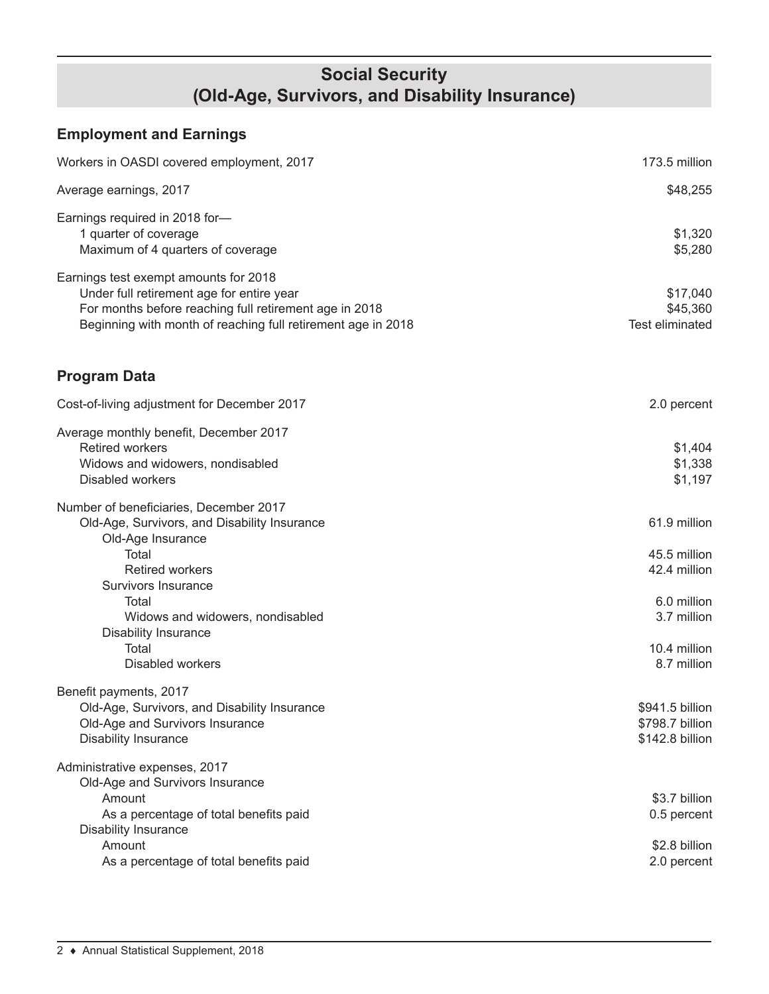### **Social Security (Old-Age, Survivors, and Disability Insurance)**

# **Employment and Earnings**

| Workers in OASDI covered employment, 2017                                                                                                                                                                                                                                             | 173.5 million                                                                                             |
|---------------------------------------------------------------------------------------------------------------------------------------------------------------------------------------------------------------------------------------------------------------------------------------|-----------------------------------------------------------------------------------------------------------|
| Average earnings, 2017                                                                                                                                                                                                                                                                | \$48,255                                                                                                  |
| Earnings required in 2018 for-<br>1 quarter of coverage<br>Maximum of 4 quarters of coverage                                                                                                                                                                                          | \$1,320<br>\$5,280                                                                                        |
| Earnings test exempt amounts for 2018<br>Under full retirement age for entire year<br>For months before reaching full retirement age in 2018<br>Beginning with month of reaching full retirement age in 2018                                                                          | \$17,040<br>\$45,360<br>Test eliminated                                                                   |
| <b>Program Data</b>                                                                                                                                                                                                                                                                   |                                                                                                           |
| Cost-of-living adjustment for December 2017                                                                                                                                                                                                                                           | 2.0 percent                                                                                               |
| Average monthly benefit, December 2017<br><b>Retired workers</b><br>Widows and widowers, nondisabled<br><b>Disabled workers</b>                                                                                                                                                       | \$1,404<br>\$1,338<br>\$1,197                                                                             |
| Number of beneficiaries, December 2017<br>Old-Age, Survivors, and Disability Insurance<br>Old-Age Insurance<br>Total<br><b>Retired workers</b><br>Survivors Insurance<br>Total<br>Widows and widowers, nondisabled<br><b>Disability Insurance</b><br>Total<br><b>Disabled workers</b> | 61.9 million<br>45.5 million<br>42.4 million<br>6.0 million<br>3.7 million<br>10.4 million<br>8.7 million |
| Benefit payments, 2017<br>Old-Age, Survivors, and Disability Insurance<br>Old-Age and Survivors Insurance<br><b>Disability Insurance</b>                                                                                                                                              | \$941.5 billion<br>\$798.7 billion<br>\$142.8 billion                                                     |
| Administrative expenses, 2017<br>Old-Age and Survivors Insurance<br>Amount<br>As a percentage of total benefits paid<br><b>Disability Insurance</b><br>Amount<br>As a percentage of total benefits paid                                                                               | \$3.7 billion<br>0.5 percent<br>\$2.8 billion<br>2.0 percent                                              |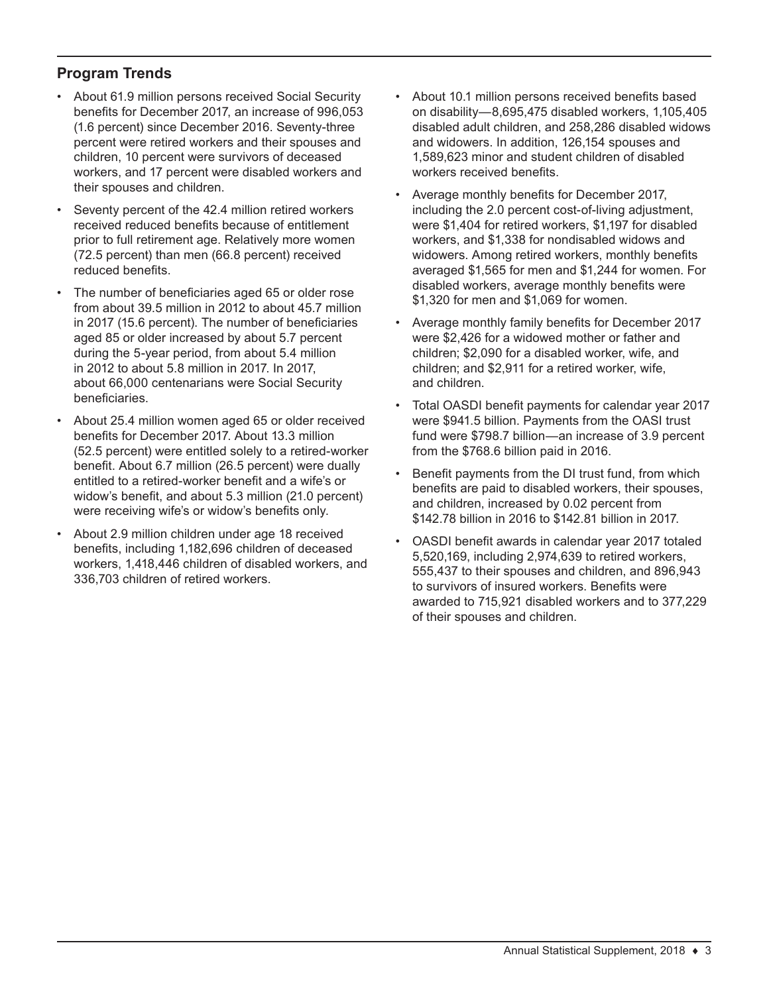#### **Program Trends**

- About 61.9 million persons received Social Security benefits for December 2017, an increase of 996,053 (1.6 percent) since December 2016. Seventy-three percent were retired workers and their spouses and children, 10 percent were survivors of deceased workers, and 17 percent were disabled workers and their spouses and children.
- Seventy percent of the 42.4 million retired workers received reduced benefits because of entitlement prior to full retirement age. Relatively more women (72.5 percent) than men (66.8 percent) received reduced benefits.
- The number of beneficiaries aged 65 or older rose from about 39.5 million in 2012 to about 45.7 million in 2017 (15.6 percent). The number of beneficiaries aged 85 or older increased by about 5.7 percent during the 5-year period, from about 5.4 million in 2012 to about 5.8 million in 2017. In 2017, about 66,000 centenarians were Social Security beneficiaries.
- About 25.4 million women aged 65 or older received benefits for December 2017. About 13.3 million (52.5 percent) were entitled solely to a retired-worker benefit. About 6.7 million (26.5 percent) were dually entitled to a retired-worker benefit and a wife's or widow's benefit, and about 5.3 million (21.0 percent) were receiving wife's or widow's benefits only.
- About 2.9 million children under age 18 received benefits, including 1,182,696 children of deceased workers, 1,418,446 children of disabled workers, and 336,703 children of retired workers.
- About 10.1 million persons received benefits based on disability—8,695,475 disabled workers, 1,105,405 disabled adult children, and 258,286 disabled widows and widowers. In addition, 126,154 spouses and 1,589,623 minor and student children of disabled workers received benefits.
- Average monthly benefits for December 2017, including the 2.0 percent cost-of-living adjustment, were \$1,404 for retired workers, \$1,197 for disabled workers, and \$1,338 for nondisabled widows and widowers. Among retired workers, monthly benefits averaged \$1,565 for men and \$1,244 for women. For disabled workers, average monthly benefits were \$1,320 for men and \$1,069 for women.
- Average monthly family benefits for December 2017 were \$2,426 for a widowed mother or father and children; \$2,090 for a disabled worker, wife, and children; and \$2,911 for a retired worker, wife, and children.
- Total OASDI benefit payments for calendar year 2017 were \$941.5 billion. Payments from the OASI trust fund were \$798.7 billion—an increase of 3.9 percent from the \$768.6 billion paid in 2016.
- Benefit payments from the DI trust fund, from which benefits are paid to disabled workers, their spouses, and children, increased by 0.02 percent from \$142.78 billion in 2016 to \$142.81 billion in 2017.
- OASDI benefit awards in calendar year 2017 totaled 5,520,169, including 2,974,639 to retired workers, 555,437 to their spouses and children, and 896,943 to survivors of insured workers. Benefits were awarded to 715,921 disabled workers and to 377,229 of their spouses and children.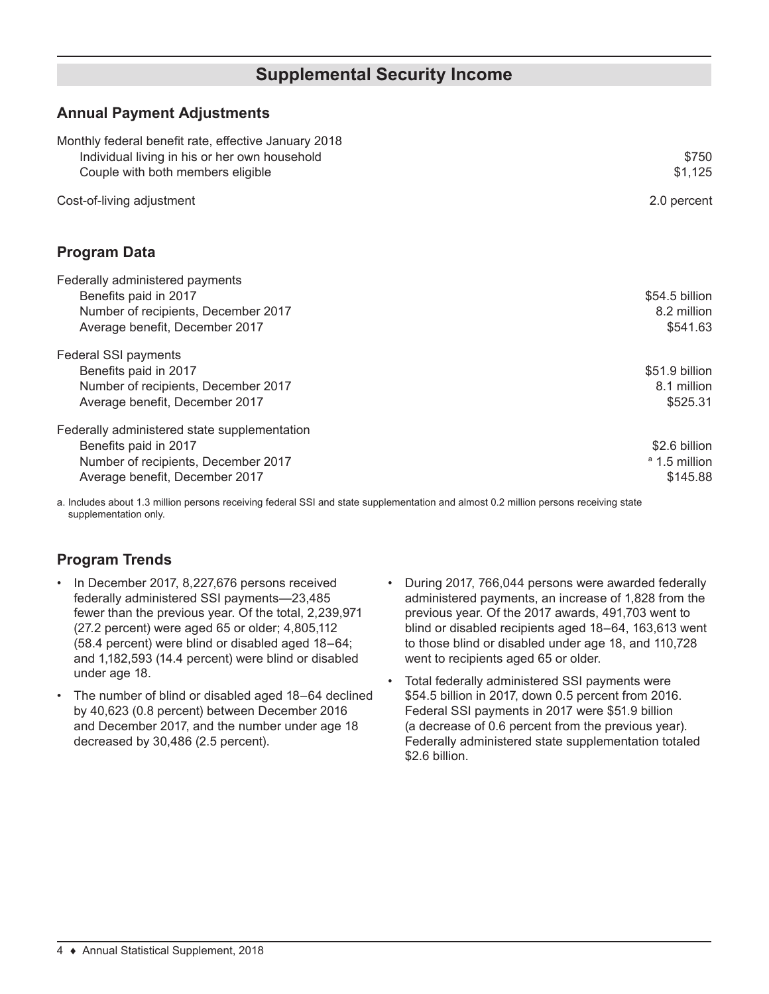### **Supplemental Security Income**

#### **Annual Payment Adjustments**

| Monthly federal benefit rate, effective January 2018<br>Individual living in his or her own household<br>Couple with both members eligible     | \$750<br>\$1,125                                      |
|------------------------------------------------------------------------------------------------------------------------------------------------|-------------------------------------------------------|
| Cost-of-living adjustment                                                                                                                      | 2.0 percent                                           |
| <b>Program Data</b>                                                                                                                            |                                                       |
| Federally administered payments<br>Benefits paid in 2017<br>Number of recipients, December 2017<br>Average benefit, December 2017              | \$54.5 billion<br>8.2 million<br>\$541.63             |
| Federal SSI payments<br>Benefits paid in 2017<br>Number of recipients, December 2017<br>Average benefit, December 2017                         | \$51.9 billion<br>8.1 million<br>\$525.31             |
| Federally administered state supplementation<br>Benefits paid in 2017<br>Number of recipients, December 2017<br>Average benefit, December 2017 | \$2.6 billion<br><sup>a</sup> 1.5 million<br>\$145.88 |

a. Includes about 1.3 million persons receiving federal SSI and state supplementation and almost 0.2 million persons receiving state supplementation only.

### **Program Trends**

- In December 2017, 8,227,676 persons received federally administered SSI payments—23,485 fewer than the previous year. Of the total, 2,239,971 (27.2 percent) were aged 65 or older; 4,805,112 (58.4 percent) were blind or disabled aged 18–64; and 1,182,593 (14.4 percent) were blind or disabled under age 18.
- The number of blind or disabled aged 18-64 declined by 40,623 (0.8 percent) between December 2016 and December 2017, and the number under age 18 decreased by 30,486 (2.5 percent).
- During 2017, 766,044 persons were awarded federally administered payments, an increase of 1,828 from the previous year. Of the 2017 awards, 491,703 went to blind or disabled recipients aged 18–64, 163,613 went to those blind or disabled under age 18, and 110,728 went to recipients aged 65 or older.
- Total federally administered SSI payments were \$54.5 billion in 2017, down 0.5 percent from 2016. Federal SSI payments in 2017 were \$51.9 billion (a decrease of 0.6 percent from the previous year). Federally administered state supplementation totaled \$2.6 billion.